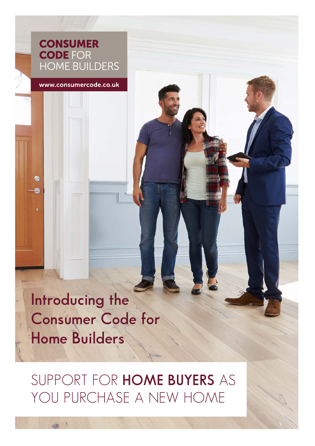## **CONSUMER CODE FOR HOME BUILDERS**

www.consumercode.co.uk

œ

**Introducing the Consumer Code for Home Builders**

SUPPORT FOR **HOME BUYERS** AS YOU PURCHASE A NEW HOME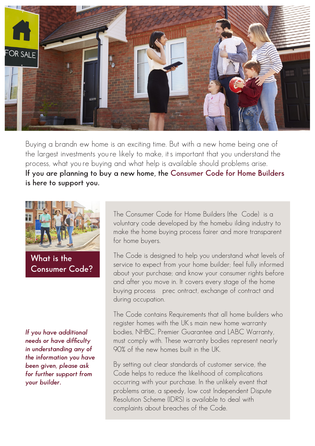

Buying a brandn ew home is an exciting time. But with a new home being one of the largest investments you re likely to make, it s important that you understand the process, what you re buying and what help is available should problems arise. **If you are planning to buy a new home, the Consumer Code for Home Builders is here to support you.**



**What is the Consumer Code?**

*If you have additional needs or have difficulty in understanding any of the information you have been given, please ask for further support from your builder.*

The Consumer Code for Home Builders (the Code) is a voluntary code developed by the homebu ilding industry to make the home buying process fairer and more transparent for home buyers.

The Code is designed to help you understand what levels of service to expect from your home builder; feel fully informed about your purchase; and know your consumer rights before and after you move in. It covers every stage of the home buying process n prec ontract, exchange of contract and during occupation.

The Code contains Requirements that all home builders who register homes with the UKs main new home warranty bodies, NHBC, Premier Guarantee and LABC Warranty, must comply with. These warranty bodies represent nearly 90% of the new homes built in the UK.

By setting out clear standards of customer service, the Code helps to reduce the likelihood of complications occurring with your purchase. In the unlikely event that problems arise, a speedy, low cost Independent Dispute Resolution Scheme (IDRS) is available to deal with complaints about breaches of the Code.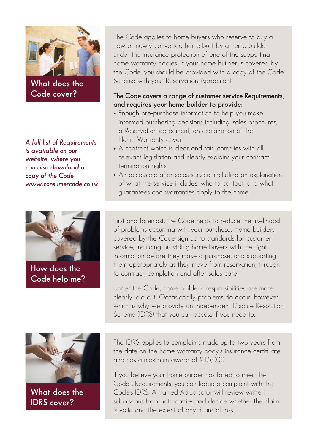

**What does the Code cover?**

*A full list of Requirements is available on our website, where you can also download a*  copy of the Code *www.consumercode.co.uk*



**How does the Code help me?**

The Code applies to home buyers who reserve to buy a new or newly converted home built by a home builder under the insurance protection of one of the supporting home warranty bodies. If your home builder is covered by the Code, you should be provided with a copy of the Code Scheme with your Reservation Agreement.

## **The Code covers a range of customer service Requirements, and requires your home builder to provide:**

- Enough pre-purchase information to help you make informed purchasing decisions including: sales brochures; a Reservation agreement; an explanation of the Home Warranty cover
- A contract which is clear and fair, complies with all relevant legislation and clearly explains your contract termination rights
- An accessible after-sales service, including an explanation of what the service includes, who to contact, and what guarantees and warranties apply to the home.

First and foremost, the Code helps to reduce the likelihood of problems occurring with your purchase. Home builders covered by the Code sign up to standards for customer service, including providing home buyers with the right information before they make a purchase, and supporting them appropriately as they move from reservation, through to contract, completion and after sales care.

Under the Code, home builders responsibilities are more clearly laid out. Occasionally problems do occur, however, which is why we provide an Independent Dispute Resolution Scheme (IDRS) that you can access if you need to.



**What does the IDRS cover?**

The IDRS applies to complaints made up to two years from the date on the home warranty bodys insurance certificate, and has a maximum award of £15,000.

If you believe your home builder has failed to meet the Codes Requirements, you can lodge a complaint with the Codes IDRS. A trained Adjudicator will review written submissions from both parties and decide whether the claim is valid and the extent of any fi ancial loss.